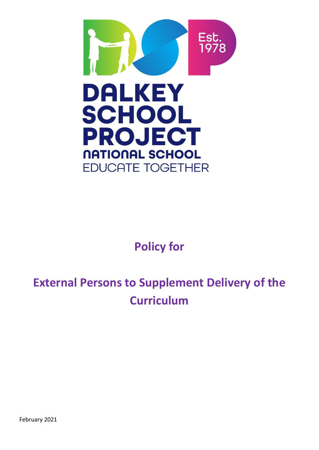

# **Policy for**

# **External Persons to Supplement Delivery of the Curriculum**

February 2021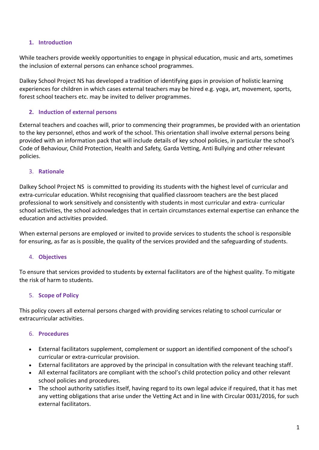# **1. Introduction**

While teachers provide weekly opportunities to engage in physical education, music and arts, sometimes the inclusion of external persons can enhance school programmes.

Dalkey School Project NS has developed a tradition of identifying gaps in provision of holistic learning experiences for children in which cases external teachers may be hired e.g. yoga, art, movement, sports, forest school teachers etc. may be invited to deliver programmes.

# **2. Induction of external persons**

External teachers and coaches will, prior to commencing their programmes, be provided with an orientation to the key personnel, ethos and work of the school. This orientation shall involve external persons being provided with an information pack that will include details of key school policies, in particular the school's Code of Behaviour, Child Protection, Health and Safety, Garda Vetting, Anti Bullying and other relevant policies.

#### 3. **Rationale**

Dalkey School Project NS is committed to providing its students with the highest level of curricular and extra-curricular education. Whilst recognising that qualified classroom teachers are the best placed professional to work sensitively and consistently with students in most curricular and extra- curricular school activities, the school acknowledges that in certain circumstances external expertise can enhance the education and activities provided.

When external persons are employed or invited to provide services to students the school is responsible for ensuring, as far as is possible, the quality of the services provided and the safeguarding of students.

#### 4. **Objectives**

To ensure that services provided to students by external facilitators are of the highest quality. To mitigate the risk of harm to students.

# 5. **Scope of Policy**

This policy covers all external persons charged with providing services relating to school curricular or extracurricular activities.

# 6. **Procedures**

- External facilitators supplement, complement or support an identified component of the school's curricular or extra-curricular provision.
- External facilitators are approved by the principal in consultation with the relevant teaching staff.
- All external facilitators are compliant with the school's child protection policy and other relevant school policies and procedures.
- The school authority satisfies itself, having regard to its own legal advice if required, that it has met any vetting obligations that arise under the Vetting Act and in line with Circular 0031/2016, for such external facilitators.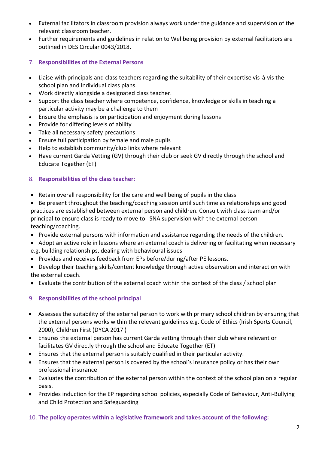- External facilitators in classroom provision always work under the guidance and supervision of the relevant classroom teacher.
- Further requirements and guidelines in relation to Wellbeing provision by external facilitators are outlined in DES Circular 0043/2018.
- 7. **Responsibilities of the External Persons**
- Liaise with principals and class teachers regarding the suitability of their expertise vis-à-vis the school plan and individual class plans.
- Work directly alongside a designated class teacher.
- Support the class teacher where competence, confidence, knowledge or skills in teaching a particular activity may be a challenge to them
- Ensure the emphasis is on participation and enjoyment during lessons
- Provide for differing levels of ability
- Take all necessary safety precautions
- Ensure full participation by female and male pupils
- Help to establish community/club links where relevant
- Have current Garda Vetting (GV) through their club or seek GV directly through the school and Educate Together (ET)

# 8. **Responsibilities of the class teacher**:

- Retain overall responsibility for the care and well being of pupils in the class
- Be present throughout the teaching/coaching session until such time as relationships and good practices are established between external person and children. Consult with class team and/or principal to ensure class is ready to move to SNA supervision with the external person teaching/coaching.
- Provide external persons with information and assistance regarding the needs of the children.
- Adopt an active role in lessons where an external coach is delivering or facilitating when necessary e.g. building relationships, dealing with behavioural issues
- Provides and receives feedback from EPs before/during/after PE lessons.
- Develop their teaching skills/content knowledge through active observation and interaction with the external coach.
- Evaluate the contribution of the external coach within the context of the class / school plan
- 9. **Responsibilities of the school principal**
- Assesses the suitability of the external person to work with primary school children by ensuring that the external persons works within the relevant guidelines e.g. Code of Ethics (Irish Sports Council, 2000), Children First (DYCA 2017 )
- Ensures the external person has current Garda vetting through their club where relevant or facilitates GV directly through the school and Educate Together (ET)
- Ensures that the external person is suitably qualified in their particular activity.
- Ensures that the external person is covered by the school's insurance policy or has their own professional insurance
- Evaluates the contribution of the external person within the context of the school plan on a regular basis.
- Provides induction for the EP regarding school policies, especially Code of Behaviour, Anti-Bullying and Child Protection and Safeguarding

# 10. **The policy operates within a legislative framework and takes account of the following:**